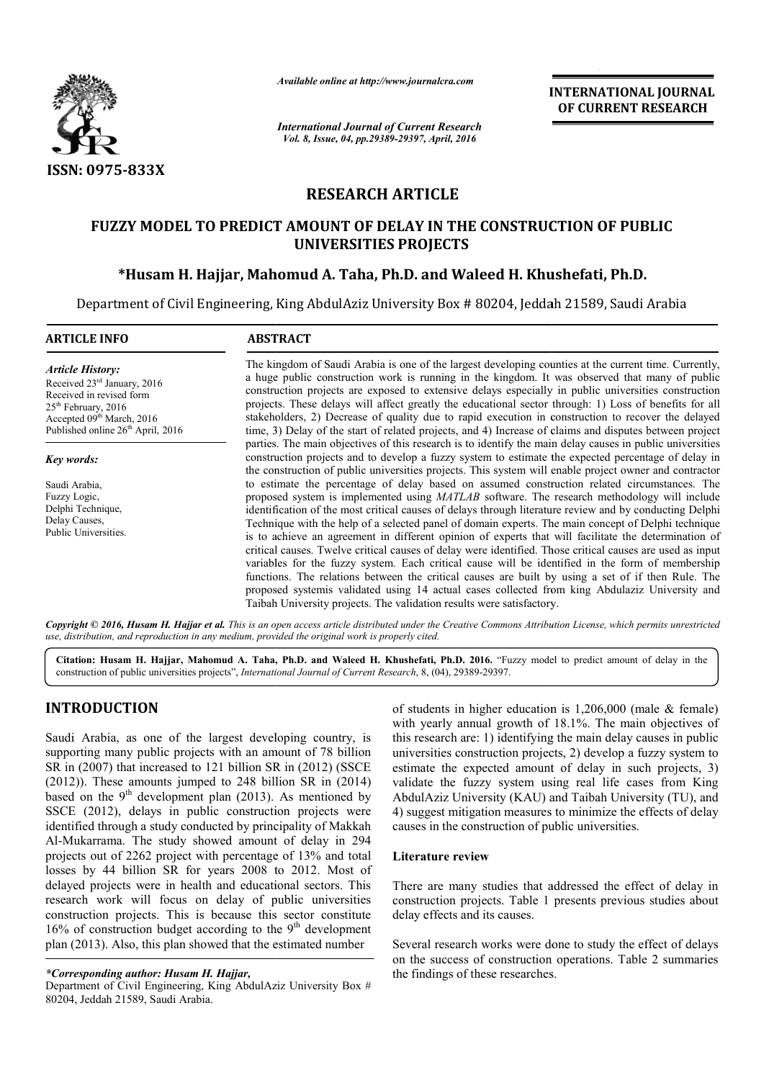

*Available online at http://www.journalcra.com*

*International Journal of Current Research Vol. 8, Issue, 04, pp.29389-29397, April, 2016*

**INTERNATIONAL JOURNAL OF CURRENT RESEARCH** 

# **RESEARCH ARTICLE**

# **FUZZY MODEL TO PREDICT AMOUNT OF DELAY IN THE CONSTRUCTION OF PUBLIC UNIVERSITIES PROJECTS**

# **\*Husam H. Hajjar, Mahomud A. Taha, Ph.D. and Waleed H. Khushefati, Ph.D.**

Department of Civil Engineering, King AbdulAziz University Box # 80204, Jeddah 21589, Saudi Arabia

| <b>ARTICLE INFO</b>                                                                                                                                                               | <b>ABSTRACT</b>                                                                                                                                                                                                                                                                                                                                                                                                                                                                                                                                                                                                                                                                                                                                                                                                                                                                                                                                                                                                                |
|-----------------------------------------------------------------------------------------------------------------------------------------------------------------------------------|--------------------------------------------------------------------------------------------------------------------------------------------------------------------------------------------------------------------------------------------------------------------------------------------------------------------------------------------------------------------------------------------------------------------------------------------------------------------------------------------------------------------------------------------------------------------------------------------------------------------------------------------------------------------------------------------------------------------------------------------------------------------------------------------------------------------------------------------------------------------------------------------------------------------------------------------------------------------------------------------------------------------------------|
| <b>Article History:</b><br>Received $23rd$ January, 2016<br>Received in revised form<br>$25th$ February, 2016<br>Accepted 09th March, 2016<br>Published online $26th$ April, 2016 | The kingdom of Saudi Arabia is one of the largest developing counties at the current time. Currently,<br>a huge public construction work is running in the kingdom. It was observed that many of public<br>construction projects are exposed to extensive delays especially in public universities construction<br>projects. These delays will affect greatly the educational sector through: 1) Loss of benefits for all<br>stakeholders, 2) Decrease of quality due to rapid execution in construction to recover the delayed<br>time, 3) Delay of the start of related projects, and 4) Increase of claims and disputes between project                                                                                                                                                                                                                                                                                                                                                                                     |
| Key words:                                                                                                                                                                        | parties. The main objectives of this research is to identify the main delay causes in public universities<br>construction projects and to develop a fuzzy system to estimate the expected percentage of delay in<br>the construction of public universities projects. This system will enable project owner and contractor                                                                                                                                                                                                                                                                                                                                                                                                                                                                                                                                                                                                                                                                                                     |
| Saudi Arabia,<br>Fuzzy Logic,<br>Delphi Technique,<br>Delay Causes,<br>Public Universities.                                                                                       | to estimate the percentage of delay based on assumed construction related circumstances. The<br>proposed system is implemented using <i>MATLAB</i> software. The research methodology will include<br>identification of the most critical causes of delays through literature review and by conducting Delphi<br>Technique with the help of a selected panel of domain experts. The main concept of Delphi technique<br>is to achieve an agreement in different opinion of experts that will facilitate the determination of<br>critical causes. Twelve critical causes of delay were identified. Those critical causes are used as input<br>variables for the fuzzy system. Each critical cause will be identified in the form of membership<br>functions. The relations between the critical causes are built by using a set of if then Rule. The<br>proposed systemis validated using 14 actual cases collected from king Abdulaziz University and<br>Taibah University projects. The validation results were satisfactory. |

Copyright © 2016, Husam H. Hajjar et al. This is an open access article distributed under the Creative Commons Attribution License, which permits unrestricted *use, distribution, and reproduction in any medium, provided the original work is properly cited.*

Citation: Husam H. Hajjar, Mahomud A. Taha, Ph.D. and Waleed H. Khushefati, Ph.D. 2016. "Fuzzy model to predict amount of delay in the construction of public universities projects", *International Journal of Current Research* , 8, (04), 29389-29397.

# **INTRODUCTION**

Saudi Arabia, as one of the largest developing country, is supporting many public projects with an amount of 78 billion SR in (2007) that increased to 121 billion SR in (2012) (SSCE (2012)). These amounts jumped to 248 billion SR in (2014) based on the  $9<sup>th</sup>$  development plan (2013). As mentioned by SSCE (2012), delays in public construction projects were identified through a study conducted by principality of Makkah Al-Mukarrama. The study showed amount of delay in 294 projects out of 2262 project with percentage of 13% and total losses by 44 billion SR for years 2008 to 2012. Most of delayed projects were in health and educational sectors. This research work will focus on delay of public universities construction projects. This is because this sector constitute SSCE (2012), delays in public construction projects were<br>identified through a study conducted by principality of Makkah<br>Al-Mukarrama. The study showed amount of delay in 294<br>projects out of 2262 project with percentage of plan (2013). Also, this plan showed that the estimated number

Department of Civil Engineering, King AbdulAziz University Box # 80204, Jeddah 21589, Saudi Arabia.

of students in higher education is  $1,206,000$  (male  $&$  female) with yearly annual growth of 18.1%. The main objectives of this research are: 1) identifying the main delay causes in public universities construction projects, 2) develop a fuzzy system to with yearly annual growth of 18.1%. The main objectives of this research are: 1) identifying the main delay causes in public universities construction projects, 2) develop a fuzzy system to estimate the expected amount of validate the fuzzy system using real life cases from King AbdulAziz University (KAU) and Taibah University (TU), and 4) suggest mitigation measures to minimize the effects of causes in the construction of public universities. fuzzy system using real life cases from King<br>i University (KAU) and Taibah University (TU), and<br>mitigation measures to minimize the effects of delay

## **Literature review**

There are many studies that addressed the effect of delay in construction projects. Table 1 presents previous studies about delay effects and its causes. There are many studies that addressed the effect of delay in construction projects. Table 1 presents previous studies about delay effects and its causes.<br>Several research works were done to study the effect of delays on th

Several research works were done to study the effect of delays the findings of these researches.

*<sup>\*</sup>Corresponding author: Husam H. Hajjar,*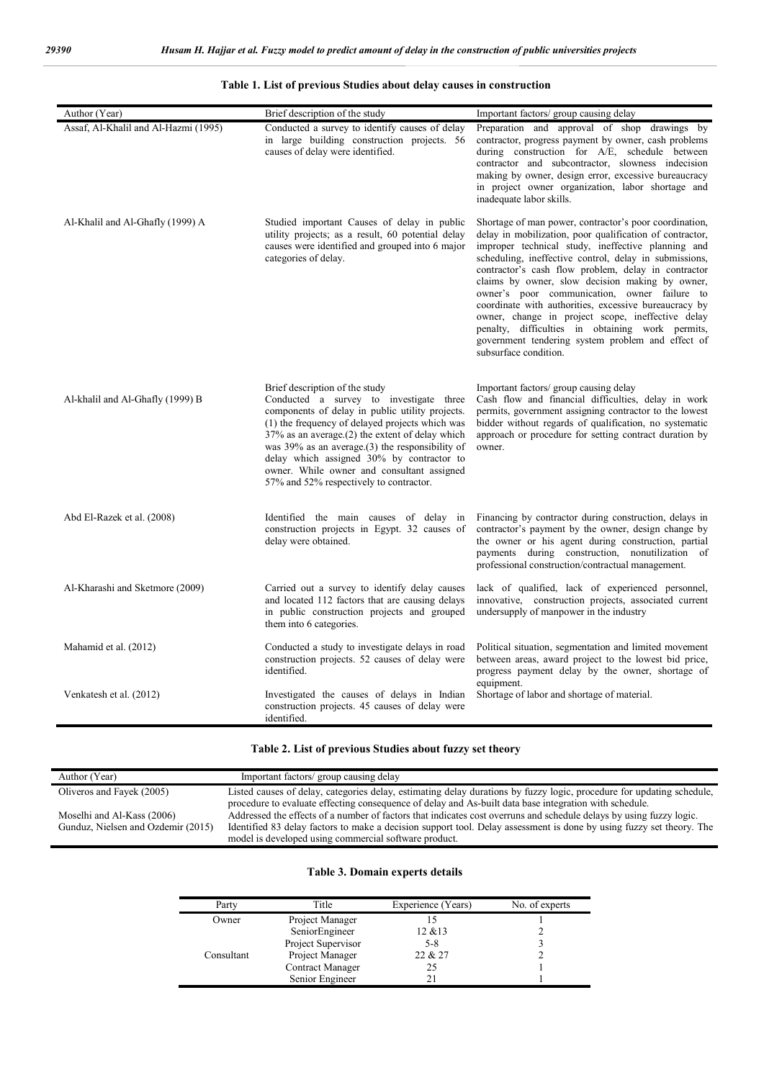| Author (Year)                        | Brief description of the study                                                                                                                                                                                                                                                                                                                                                                                              | Important factors/group causing delay                                                                                                                                                                                                                                                                                                                                                                                                                                                                                                                                                                                                        |
|--------------------------------------|-----------------------------------------------------------------------------------------------------------------------------------------------------------------------------------------------------------------------------------------------------------------------------------------------------------------------------------------------------------------------------------------------------------------------------|----------------------------------------------------------------------------------------------------------------------------------------------------------------------------------------------------------------------------------------------------------------------------------------------------------------------------------------------------------------------------------------------------------------------------------------------------------------------------------------------------------------------------------------------------------------------------------------------------------------------------------------------|
| Assaf, Al-Khalil and Al-Hazmi (1995) | Conducted a survey to identify causes of delay<br>in large building construction projects. 56<br>causes of delay were identified.                                                                                                                                                                                                                                                                                           | Preparation and approval of shop drawings by<br>contractor, progress payment by owner, cash problems<br>during construction for A/E, schedule between<br>contractor and subcontractor, slowness indecision<br>making by owner, design error, excessive bureaucracy<br>in project owner organization, labor shortage and<br>inadequate labor skills.                                                                                                                                                                                                                                                                                          |
| Al-Khalil and Al-Ghafly (1999) A     | Studied important Causes of delay in public<br>utility projects; as a result, 60 potential delay<br>causes were identified and grouped into 6 major<br>categories of delay.                                                                                                                                                                                                                                                 | Shortage of man power, contractor's poor coordination,<br>delay in mobilization, poor qualification of contractor,<br>improper technical study, ineffective planning and<br>scheduling, ineffective control, delay in submissions,<br>contractor's cash flow problem, delay in contractor<br>claims by owner, slow decision making by owner,<br>owner's poor communication, owner failure to<br>coordinate with authorities, excessive bureaucracy by<br>owner, change in project scope, ineffective delay<br>penalty, difficulties in obtaining work permits,<br>government tendering system problem and effect of<br>subsurface condition. |
| Al-khalil and Al-Ghafly (1999) B     | Brief description of the study<br>Conducted a survey to investigate three<br>components of delay in public utility projects.<br>(1) the frequency of delayed projects which was<br>37% as an average.(2) the extent of delay which<br>was 39% as an average.(3) the responsibility of<br>delay which assigned 30% by contractor to<br>owner. While owner and consultant assigned<br>57% and 52% respectively to contractor. | Important factors/group causing delay<br>Cash flow and financial difficulties, delay in work<br>permits, government assigning contractor to the lowest<br>bidder without regards of qualification, no systematic<br>approach or procedure for setting contract duration by<br>owner.                                                                                                                                                                                                                                                                                                                                                         |
| Abd El-Razek et al. (2008)           | Identified the main causes of delay in<br>construction projects in Egypt. 32 causes of<br>delay were obtained.                                                                                                                                                                                                                                                                                                              | Financing by contractor during construction, delays in<br>contractor's payment by the owner, design change by<br>the owner or his agent during construction, partial<br>payments during construction, nonutilization of<br>professional construction/contractual management.                                                                                                                                                                                                                                                                                                                                                                 |
| Al-Kharashi and Sketmore (2009)      | Carried out a survey to identify delay causes<br>and located 112 factors that are causing delays<br>in public construction projects and grouped<br>them into 6 categories.                                                                                                                                                                                                                                                  | lack of qualified, lack of experienced personnel,<br>innovative, construction projects, associated current<br>undersupply of manpower in the industry                                                                                                                                                                                                                                                                                                                                                                                                                                                                                        |
| Mahamid et al. (2012)                | Conducted a study to investigate delays in road<br>construction projects. 52 causes of delay were<br>identified.                                                                                                                                                                                                                                                                                                            | Political situation, segmentation and limited movement<br>between areas, award project to the lowest bid price,<br>progress payment delay by the owner, shortage of<br>equipment.                                                                                                                                                                                                                                                                                                                                                                                                                                                            |
| Venkatesh et al. (2012)              | Investigated the causes of delays in Indian<br>construction projects. 45 causes of delay were<br>identified.                                                                                                                                                                                                                                                                                                                | Shortage of labor and shortage of material.                                                                                                                                                                                                                                                                                                                                                                                                                                                                                                                                                                                                  |

### **Table 1. List of previous Studies about delay causes in construction**

# **Table 2. List of previous Studies about fuzzy set theory**

| Author (Year)                                                    | Important factors/group causing delay                                                                                                                                                                                                                                                                |
|------------------------------------------------------------------|------------------------------------------------------------------------------------------------------------------------------------------------------------------------------------------------------------------------------------------------------------------------------------------------------|
| Oliveros and Fayek (2005)                                        | Listed causes of delay, categories delay, estimating delay durations by fuzzy logic, procedure for updating schedule,<br>procedure to evaluate effecting consequence of delay and As-built data base integration with schedule.                                                                      |
| Moselhi and Al-Kass (2006)<br>Gunduz, Nielsen and Ozdemir (2015) | Addressed the effects of a number of factors that indicates cost overruns and schedule delays by using fuzzy logic.<br>Identified 83 delay factors to make a decision support tool. Delay assessment is done by using fuzzy set theory. The<br>model is developed using commercial software product. |

# **Table 3. Domain experts details**

| Party      | Title              | Experience (Years) | No. of experts |
|------------|--------------------|--------------------|----------------|
| Owner      | Project Manager    |                    |                |
|            | SeniorEngineer     | $12 \& 13$         |                |
|            | Project Supervisor | 5-8                |                |
| Consultant | Project Manager    | 22 & 27            |                |
|            | Contract Manager   | 25                 |                |
|            | Senior Engineer    |                    |                |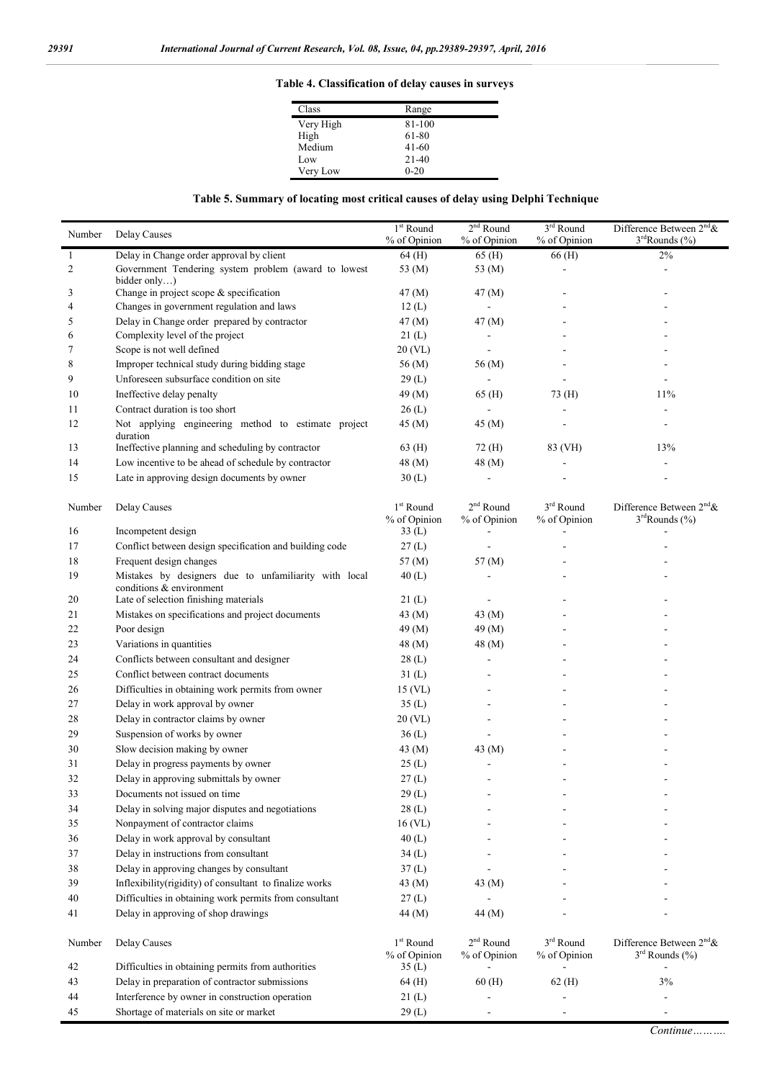# **Table 4. Classification of delay causes in surveys**

| Class     | Range     |
|-----------|-----------|
| Very High | 81-100    |
| High      | 61-80     |
| Medium    | $41 - 60$ |
| Low       | $21-40$   |
| Very Low  | $0 - 20$  |

# **Table 5. Summary of locating most critical causes of delay using Delphi Technique**

| Number         | Delay Causes                                                                  | $1st$ Round<br>% of Opinion                    | $2nd$ Round<br>% of Opinion        | $3rd$ Round<br>% of Opinion | Difference Between $2^{nd}$ &<br>3 <sup>rd</sup> Rounds (%) |
|----------------|-------------------------------------------------------------------------------|------------------------------------------------|------------------------------------|-----------------------------|-------------------------------------------------------------|
| $\mathbf{1}$   | Delay in Change order approval by client                                      | 64 (H)                                         | 65 (H)                             | 66 (H)                      | $2\%$                                                       |
| $\overline{c}$ | Government Tendering system problem (award to lowest<br>bidder only $)$       | 53 (M)                                         | 53 (M)                             |                             |                                                             |
| 3              | Change in project scope & specification                                       | 47 (M)                                         | 47 (M)                             |                             |                                                             |
| 4              | Changes in government regulation and laws                                     | 12(L)                                          | ÷.                                 |                             |                                                             |
| 5              | Delay in Change order prepared by contractor                                  | 47(M)                                          | 47 (M)                             |                             |                                                             |
| 6              | Complexity level of the project                                               | 21(L)                                          |                                    |                             |                                                             |
| 7              | Scope is not well defined                                                     | 20 (VL)                                        |                                    |                             |                                                             |
| 8              | Improper technical study during bidding stage                                 | 56 (M)                                         | 56 (M)                             |                             |                                                             |
| 9              | Unforeseen subsurface condition on site                                       | 29(L)                                          | $\blacksquare$                     |                             |                                                             |
| 10             | Ineffective delay penalty                                                     | 49 (M)                                         | 65 (H)                             | 73 (H)                      | 11%                                                         |
| 11             | Contract duration is too short                                                | 26(L)                                          |                                    |                             |                                                             |
| 12             | Not applying engineering method to estimate project<br>duration               | 45 (M)                                         | 45 (M)                             |                             |                                                             |
| 13             | Ineffective planning and scheduling by contractor                             | 63 (H)                                         | 72 (H)                             | 83 (VH)                     | 13%                                                         |
| 14             | Low incentive to be ahead of schedule by contractor                           | 48 (M)                                         | 48 (M)                             |                             |                                                             |
| 15             | Late in approving design documents by owner                                   | 30(L)                                          |                                    |                             |                                                             |
| Number<br>16   | Delay Causes<br>Incompetent design                                            | $1st$ Round<br>% of Opinion<br>33(L)           | $2^{\rm nd}$ Round<br>% of Opinion | $3rd$ Round<br>% of Opinion | Difference Between $2^{nd}$ &<br>$3rd$ Rounds (%)           |
| 17             | Conflict between design specification and building code                       | 27(L)                                          |                                    |                             |                                                             |
| 18             | Frequent design changes                                                       | 57 (M)                                         | 57 (M)                             |                             |                                                             |
| 19             | Mistakes by designers due to unfamiliarity with local                         | 40(L)                                          |                                    |                             |                                                             |
| 20             | conditions & environment<br>Late of selection finishing materials             | 21(L)                                          |                                    |                             |                                                             |
| 21             | Mistakes on specifications and project documents                              | 43 $(M)$                                       | 43 (M)                             |                             |                                                             |
| 22             | Poor design                                                                   | 49 (M)                                         | 49 (M)                             |                             |                                                             |
| 23             | Variations in quantities                                                      | 48 (M)                                         | 48 (M)                             |                             |                                                             |
| 24             | Conflicts between consultant and designer                                     | 28(L)                                          |                                    |                             |                                                             |
| 25             | Conflict between contract documents                                           | 31(L)                                          |                                    |                             |                                                             |
| 26             | Difficulties in obtaining work permits from owner                             | 15 (VL)                                        |                                    |                             |                                                             |
| 27             | Delay in work approval by owner                                               | 35(L)                                          |                                    |                             |                                                             |
| 28             | Delay in contractor claims by owner                                           | 20 (VL)                                        |                                    |                             |                                                             |
| 29             | Suspension of works by owner                                                  | 36(L)                                          |                                    |                             |                                                             |
| 30             | Slow decision making by owner                                                 | 43 (M)                                         | 43 (M)                             |                             |                                                             |
| 31             | Delay in progress payments by owner                                           | 25(L)                                          |                                    |                             |                                                             |
| 32             | Delay in approving submittals by owner                                        | 27(L)                                          |                                    |                             |                                                             |
| 33             | Documents not issued on time                                                  |                                                |                                    |                             |                                                             |
|                | Delay in solving major disputes and negotiations                              | 29(L)                                          | $\overline{\phantom{a}}$           |                             |                                                             |
| 34<br>35       | Nonpayment of contractor claims                                               | 28(L)                                          |                                    |                             |                                                             |
|                |                                                                               | 16 (VL)                                        |                                    |                             |                                                             |
| 36             | Delay in work approval by consultant<br>Delay in instructions from consultant | 40(L)                                          |                                    |                             |                                                             |
| 37             |                                                                               | 34(L)                                          |                                    |                             |                                                             |
| 38             | Delay in approving changes by consultant                                      | 37(L)                                          |                                    |                             |                                                             |
| 39             | Inflexibility(rigidity) of consultant to finalize works                       | 43 $(M)$                                       | 43 (M)                             |                             |                                                             |
| 40             | Difficulties in obtaining work permits from consultant                        | 27(L)                                          |                                    |                             |                                                             |
| 41             | Delay in approving of shop drawings                                           | 44 (M)                                         | 44 (M)                             |                             |                                                             |
| Number<br>42   | Delay Causes<br>Difficulties in obtaining permits from authorities            | 1 <sup>st</sup> Round<br>% of Opinion<br>35(L) | $2nd$ Round<br>% of Opinion        | $3rd$ Round<br>% of Opinion | Difference Between $2nd$ &<br>$3rd$ Rounds (%)              |
| 43             | Delay in preparation of contractor submissions                                | 64 (H)                                         | 60(H)                              | $62$ (H)                    | 3%                                                          |
| 44             | Interference by owner in construction operation                               | 21(L)                                          |                                    |                             |                                                             |
| 45             | Shortage of materials on site or market                                       | 29(L)                                          |                                    |                             |                                                             |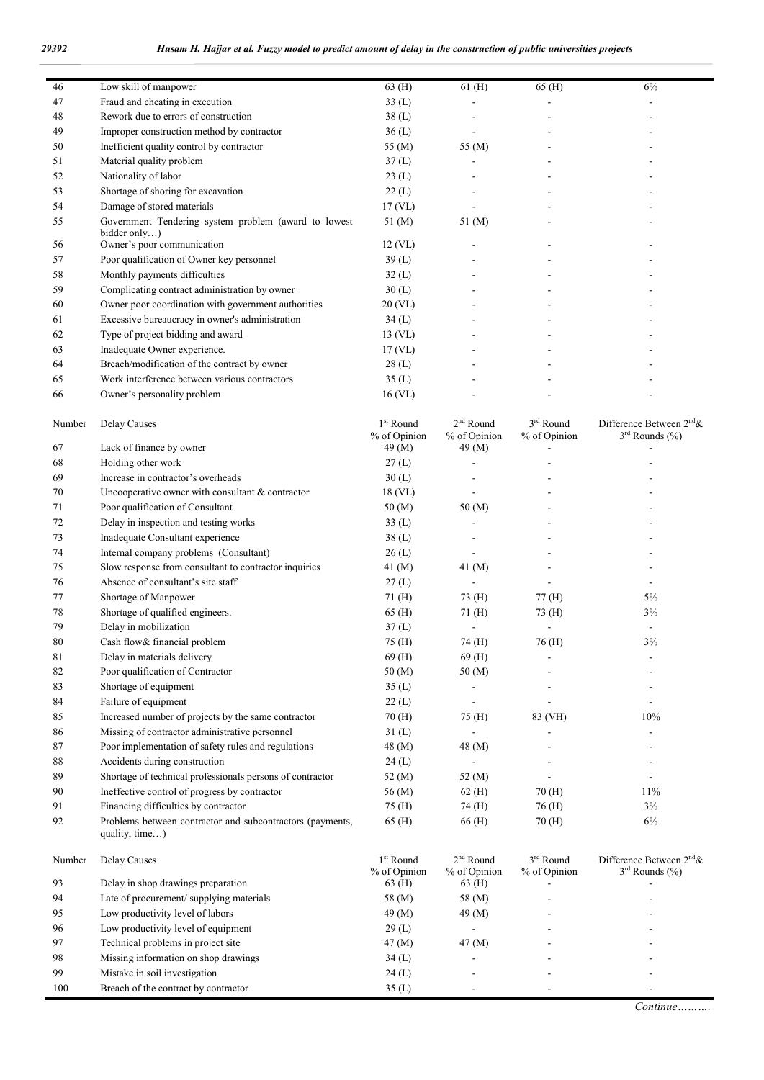$\overline{\phantom{a}}$ 

| 46     | Low skill of manpower                                                       | 63 (H)                      | $61$ (H)                    | 65 (H)                      | 6%                                             |
|--------|-----------------------------------------------------------------------------|-----------------------------|-----------------------------|-----------------------------|------------------------------------------------|
| 47     | Fraud and cheating in execution                                             | 33(L)                       |                             |                             |                                                |
| 48     | Rework due to errors of construction                                        | 38(L)                       |                             |                             |                                                |
| 49     | Improper construction method by contractor                                  | 36(L)                       |                             |                             |                                                |
| 50     | Inefficient quality control by contractor                                   | 55 (M)                      | 55 (M)                      |                             |                                                |
| 51     | Material quality problem                                                    | 37(L)                       |                             |                             |                                                |
| 52     | Nationality of labor                                                        | 23(L)                       |                             |                             |                                                |
| 53     | Shortage of shoring for excavation                                          | 22(L)                       |                             |                             |                                                |
| 54     | Damage of stored materials                                                  | 17(VL)                      |                             |                             |                                                |
| 55     | Government Tendering system problem (award to lowest<br>bidder only)        | 51 (M)                      | 51 (M)                      |                             |                                                |
| 56     | Owner's poor communication                                                  | $12$ (VL)                   |                             |                             |                                                |
| 57     | Poor qualification of Owner key personnel                                   | 39(L)                       |                             |                             |                                                |
| 58     | Monthly payments difficulties                                               | 32(L)                       |                             |                             |                                                |
| 59     | Complicating contract administration by owner                               | 30(L)                       |                             |                             |                                                |
| 60     | Owner poor coordination with government authorities                         | 20 (VL)                     |                             |                             |                                                |
| 61     | Excessive bureaucracy in owner's administration                             | 34(L)                       |                             |                             |                                                |
| 62     | Type of project bidding and award                                           | $13$ (VL)                   |                             |                             |                                                |
| 63     | Inadequate Owner experience.                                                | 17(VL)                      |                             |                             |                                                |
| 64     | Breach/modification of the contract by owner                                | 28(L)                       |                             |                             |                                                |
| 65     | Work interference between various contractors                               | 35(L)                       |                             |                             |                                                |
| 66     | Owner's personality problem                                                 | $16$ (VL)                   |                             |                             |                                                |
| Number | Delay Causes                                                                | $1st$ Round<br>% of Opinion | $2nd$ Round<br>% of Opinion | $3rd$ Round<br>% of Opinion | Difference Between $2nd$ &<br>$3rd$ Rounds (%) |
| 67     | Lack of finance by owner                                                    | 49 (M)                      | 49 (M)                      |                             |                                                |
| 68     | Holding other work                                                          | 27(L)                       |                             |                             |                                                |
| 69     | Increase in contractor's overheads                                          | 30(L)                       |                             |                             |                                                |
| 70     | Uncooperative owner with consultant $&$ contractor                          | $18$ (VL)                   |                             |                             |                                                |
| 71     | Poor qualification of Consultant                                            | 50(M)                       | 50 (M)                      |                             |                                                |
| 72     | Delay in inspection and testing works                                       | 33(L)                       |                             |                             |                                                |
| 73     | Inadequate Consultant experience                                            | 38(L)                       |                             |                             |                                                |
| 74     | Internal company problems (Consultant)                                      | 26(L)                       |                             |                             |                                                |
| 75     | Slow response from consultant to contractor inquiries                       | 41 (M)                      | 41 (M)                      |                             |                                                |
| 76     | Absence of consultant's site staff                                          | 27(L)                       |                             |                             |                                                |
| 77     | Shortage of Manpower                                                        | 71(H)                       | 73 (H)                      | 77(H)                       | 5%                                             |
| 78     | Shortage of qualified engineers.                                            | 65 (H)                      | 71(H)                       | 73 (H)                      | 3%                                             |
| 79     | Delay in mobilization                                                       | 37(L)                       |                             | $\overline{\phantom{a}}$    |                                                |
| 80     | Cash flow& financial problem                                                | 75 (H)                      | 74 (H)                      | 76 (H)                      | 3%                                             |
| 81     | Delay in materials delivery                                                 | 69(H)                       | 69 (H)                      |                             |                                                |
| 82     | Poor qualification of Contractor                                            | 50(M)                       | 50 (M)                      |                             |                                                |
| 83     | Shortage of equipment                                                       | 35(L)                       |                             |                             |                                                |
| 84     | Failure of equipment                                                        | 22(L)                       |                             | ÷.                          | L,                                             |
| 85     | Increased number of projects by the same contractor                         | 70(H)                       | 75 (H)                      | 83 (VH)                     | 10%                                            |
| 86     | Missing of contractor administrative personnel                              | 31(L)                       |                             |                             |                                                |
| 87     | Poor implementation of safety rules and regulations                         | 48 (M)                      | 48 (M)                      |                             |                                                |
| 88     | Accidents during construction                                               | 24(L)                       |                             |                             | ٠                                              |
| 89     | Shortage of technical professionals persons of contractor                   | 52 (M)                      | 52 (M)                      |                             | -                                              |
| 90     | Ineffective control of progress by contractor                               | 56 (M)                      | 62(H)                       | 70 (H)                      | 11%                                            |
| 91     | Financing difficulties by contractor                                        | 75 (H)                      | 74 (H)                      | 76 (H)                      | 3%                                             |
| 92     | Problems between contractor and subcontractors (payments,<br>quality, time) | 65 (H)                      | 66 (H)                      | 70 (H)                      | 6%                                             |

| Number | Delay Causes                            | $1st$ Round<br>% of Opinion | $2nd$ Round<br>% of Opinion | $3rd$ Round<br>% of Opinion | Difference Between $2^{nd}$ &<br>$3rd$ Rounds $(\% )$ |
|--------|-----------------------------------------|-----------------------------|-----------------------------|-----------------------------|-------------------------------------------------------|
| 93     | Delay in shop drawings preparation      | 63 (H)                      | 63(H)                       |                             |                                                       |
| 94     | Late of procurement/supplying materials | 58 (M)                      | 58 (M)                      |                             |                                                       |
| 95     | Low productivity level of labors        | 49 $(M)$                    | 49 (M)                      |                             |                                                       |
| 96     | Low productivity level of equipment     | 29(L)                       |                             |                             |                                                       |
| 97     | Technical problems in project site      | 47 (M)                      | $47 \, (M)$                 |                             |                                                       |
| 98     | Missing information on shop drawings    | 34(L)                       |                             |                             |                                                       |
| 99     | Mistake in soil investigation           | 24(L)                       |                             |                             |                                                       |
| 100    | Breach of the contract by contractor    | 35(L)                       |                             |                             |                                                       |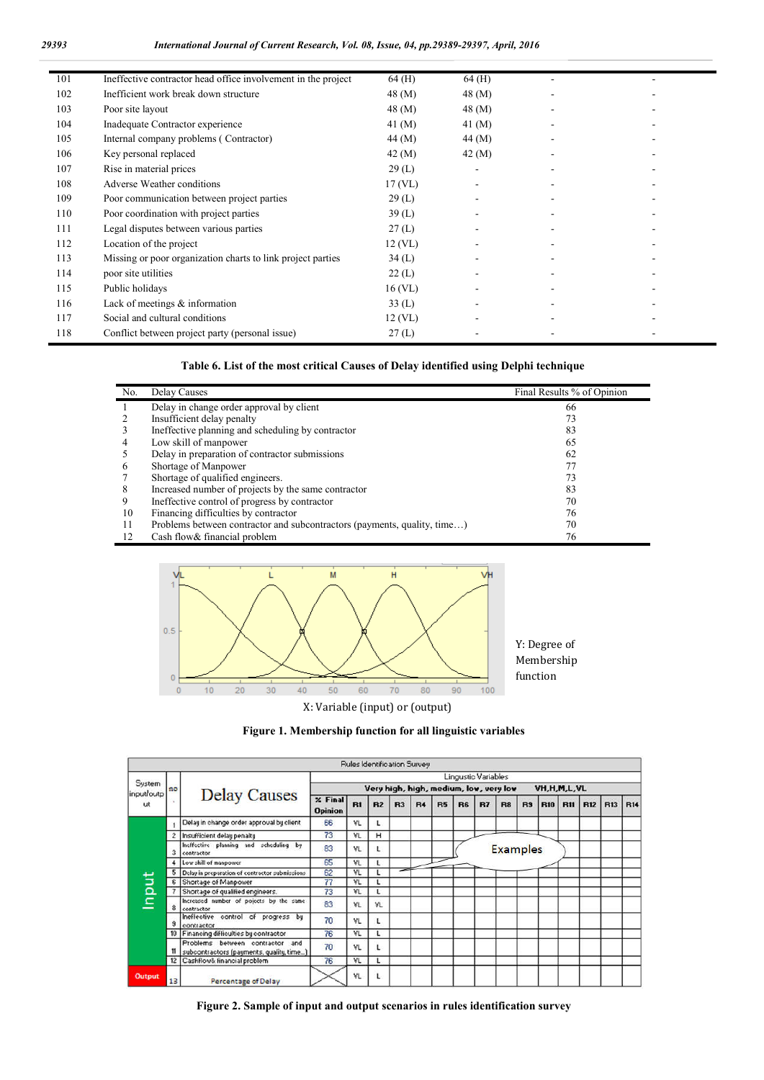| 101 | Ineffective contractor head office involvement in the project | $64$ (H)  | 64(H)      |  |
|-----|---------------------------------------------------------------|-----------|------------|--|
| 102 | Inefficient work break down structure                         | 48 (M)    | 48 (M)     |  |
| 103 | Poor site layout                                              | 48 (M)    | 48 (M)     |  |
| 104 | Inadequate Contractor experience                              | 41 $(M)$  | 41 (M)     |  |
| 105 | Internal company problems (Contractor)                        | 44 (M)    | 44 (M)     |  |
| 106 | Key personal replaced                                         | 42 (M)    | $42 \,(M)$ |  |
| 107 | Rise in material prices                                       | 29(L)     | ۰          |  |
| 108 | Adverse Weather conditions                                    | 17 (VL)   |            |  |
| 109 | Poor communication between project parties                    | 29(L)     |            |  |
| 110 | Poor coordination with project parties                        | 39(L)     |            |  |
| 111 | Legal disputes between various parties                        | 27(L)     |            |  |
| 112 | Location of the project                                       | 12 (VL)   |            |  |
| 113 | Missing or poor organization charts to link project parties   | 34(L)     |            |  |
| 114 | poor site utilities                                           | 22(L)     |            |  |
| 115 | Public holidays                                               | $16$ (VL) |            |  |
| 116 | Lack of meetings $\&$ information                             | 33(L)     |            |  |
| 117 | Social and cultural conditions                                | 12 (VL)   |            |  |
| 118 | Conflict between project party (personal issue)               | 27(L)     |            |  |

**Table 6. List of the most critical Causes of Delay identified using Delphi technique**

| No. | Delay Causes                                                             | Final Results % of Opinion |
|-----|--------------------------------------------------------------------------|----------------------------|
|     | Delay in change order approval by client                                 | 66                         |
|     | Insufficient delay penalty                                               | 73                         |
|     | Ineffective planning and scheduling by contractor                        | 83                         |
| 4   | Low skill of manpower                                                    | 65                         |
|     | Delay in preparation of contractor submissions                           | 62                         |
| O   | Shortage of Manpower                                                     |                            |
|     | Shortage of qualified engineers.                                         | 73                         |
| 8   | Increased number of projects by the same contractor                      | 83                         |
| 9   | Ineffective control of progress by contractor                            | 70                         |
| 10  | Financing difficulties by contractor                                     | 76                         |
|     | Problems between contractor and subcontractors (payments, quality, time) | 70                         |
| 12  | Cash flow & financial problem                                            | 76                         |



**Figure 1. Membership function for all linguistic variables**

|                      |                 |                                                                                |                                  |     | Rules Identification Survey |    |                |           |                                        |    |                 |                |             |            |            |            |            |
|----------------------|-----------------|--------------------------------------------------------------------------------|----------------------------------|-----|-----------------------------|----|----------------|-----------|----------------------------------------|----|-----------------|----------------|-------------|------------|------------|------------|------------|
|                      |                 |                                                                                |                                  |     |                             |    |                |           | Lingustic Variables                    |    |                 |                |             |            |            |            |            |
| System<br>input/outp | no              |                                                                                |                                  |     |                             |    |                |           | Very high, high, medium, low, very low |    |                 |                | VH.H.M.L.VL |            |            |            |            |
| ut                   |                 | <b>Delay Causes</b>                                                            | $\times$ Final<br><b>Opinion</b> | R1  | R2                          | R3 | R <sub>4</sub> | <b>R5</b> | R <sub>6</sub>                         | B7 | R <sub>8</sub>  | R <sub>3</sub> | <b>R10</b>  | <b>B11</b> | <b>R12</b> | <b>R13</b> | <b>R14</b> |
|                      |                 | Delay in change order approval by client                                       | 66                               | VL  |                             |    |                |           |                                        |    |                 |                |             |            |            |            |            |
|                      |                 | Insufficient delay penalty                                                     | 73                               | VL  | н                           |    |                |           |                                        |    |                 |                |             |            |            |            |            |
|                      | з               | Ineffective planning and scheduling by<br>contractor                           | 83                               | VL  |                             |    |                |           |                                        |    | <b>Examples</b> |                |             |            |            |            |            |
|                      |                 | Low skill of manpower                                                          | 65                               | VL  |                             |    |                |           |                                        |    |                 |                |             |            |            |            |            |
|                      | 5.              | Delay in preparation of contractor submissions                                 | 62                               | VL  |                             |    |                |           |                                        |    |                 |                |             |            |            |            |            |
|                      | 61              | Shortage of Manpower                                                           | 77                               | VL  |                             |    |                |           |                                        |    |                 |                |             |            |            |            |            |
|                      |                 | Shortage of qualified engineers.                                               | 73                               | VL  |                             |    |                |           |                                        |    |                 |                |             |            |            |            |            |
| nput                 | 8               | Increased number of pojects by the same<br>contractor                          | 83                               | VL  | VL                          |    |                |           |                                        |    |                 |                |             |            |            |            |            |
|                      |                 | control of progress by<br>Ineffective<br>contractor                            | 70                               | VL  |                             |    |                |           |                                        |    |                 |                |             |            |            |            |            |
|                      | 10              | Financing difficulties by contractor                                           | 76                               | VL  |                             |    |                |           |                                        |    |                 |                |             |            |            |            |            |
|                      |                 | Problems between contractor<br>and<br>subcontractors (payments, quality, time) | 70                               | VL  |                             |    |                |           |                                        |    |                 |                |             |            |            |            |            |
|                      | 12 <sup>1</sup> | Cashflow& financial problem                                                    | 76                               | VL. |                             |    |                |           |                                        |    |                 |                |             |            |            |            |            |
| Output               | 13              | <b>Percentage of Delay</b>                                                     |                                  | VL  |                             |    |                |           |                                        |    |                 |                |             |            |            |            |            |

**Figure 2. Sample of input and output scenarios in rules identification survey**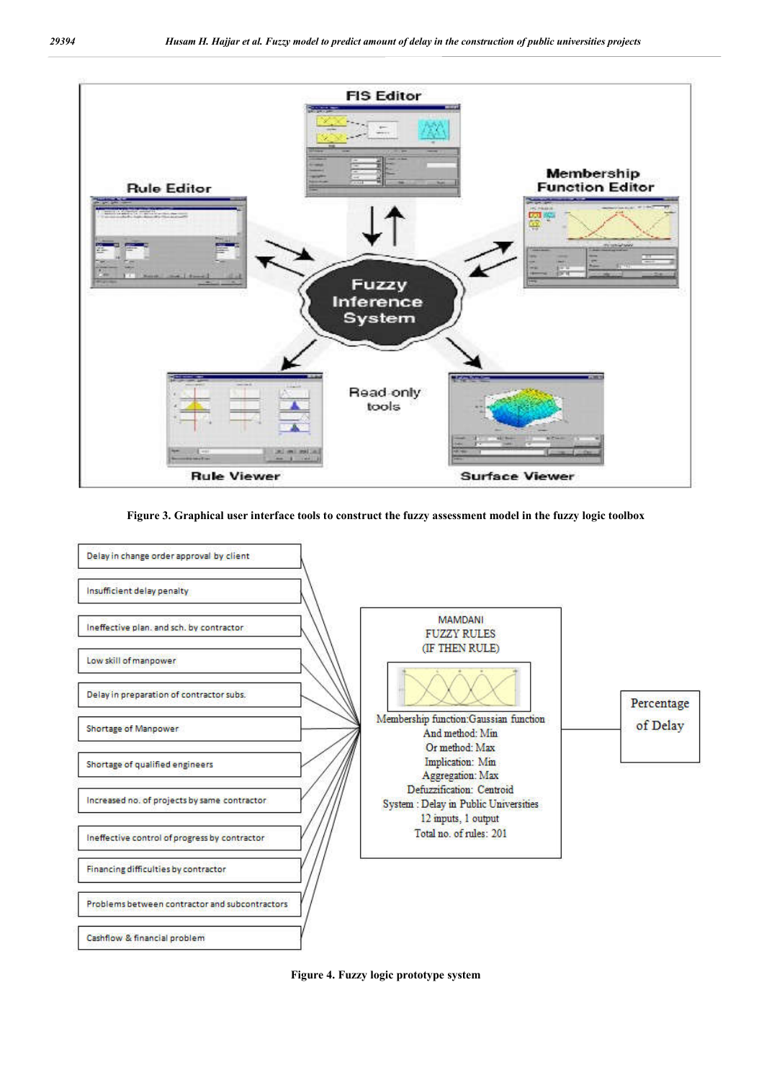

## **Figure 3. Graphical user interface tools to construct the fuzzy assessment model in the fuzzy logic toolbox**



**Figure 4. Fuzzy logic prototype system**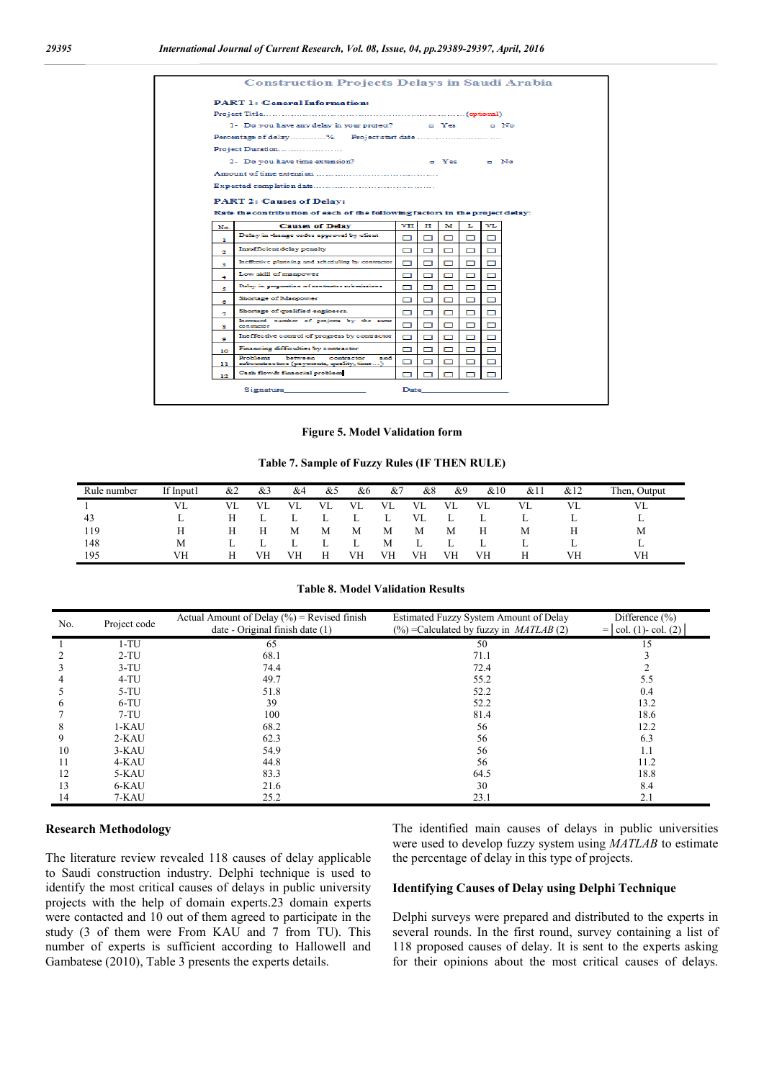|        | <b>PART 1: General Information:</b>                                                |    |   |   |    |                    |  |
|--------|------------------------------------------------------------------------------------|----|---|---|----|--------------------|--|
|        |                                                                                    |    |   |   |    |                    |  |
|        | 1- Do you have any delay in your project? _______ D Yes                            |    |   |   |    | $\blacksquare$ No. |  |
|        |                                                                                    |    |   |   |    |                    |  |
|        | Project Duration                                                                   |    |   |   |    |                    |  |
|        | 2- Do you have time extension?                                                     |    |   |   |    | o Yes o No         |  |
|        |                                                                                    |    |   |   |    |                    |  |
|        |                                                                                    |    |   |   |    |                    |  |
|        | <b>PART 2: Causes of Delay:</b>                                                    |    |   |   |    |                    |  |
|        | Rate the contribution of each of the following factors in the project delay:       |    |   |   |    |                    |  |
| No.    | <b>Causes of Delay</b>                                                             | vн | Ħ | м | т. | vı                 |  |
|        | Delay in change order approval by client                                           |    |   |   |    |                    |  |
|        |                                                                                    |    |   |   |    |                    |  |
| ш<br>2 | Insufficient delay penalty                                                         | ┍  |   | □ | ⊓  |                    |  |
| з      | Ineffective planning and scheduling by contractor                                  | ⊓  |   | □ | ⊓  | □                  |  |
| 4      | Low skill of manpower                                                              | ⊓  |   |   |    | ┍                  |  |
| 5.     | Delay in preparation of contractor submissions                                     | ⊓  | ┍ | ⊓ | п  | −                  |  |
| 6      | Shortage of Manpower                                                               | п  |   | п | п  | □                  |  |
| ÷      | Shortage of qualified engineers.                                                   | ⊓  |   | ▭ |    |                    |  |
| s.     | Increased number of projects by the same<br>contractor                             | п  | ▭ | ⊓ | п  | ⊓                  |  |
| ۰      | Ineffective control of progress by contractor                                      | ┍  |   |   | п  |                    |  |
| 10     | Financing difficulties by contractor                                               | ┍┓ | □ | ⊓ | ⊓  | ┍┓                 |  |
| 11.    | Problems<br>between contractor<br>and.<br>subcontractors (payments, quality, time) | О  |   | п |    | п                  |  |

**Figure 5. Model Validation form**

**Table 7. Sample of Fuzzy Rules (IF THEN RULE)**

| Rule number | If Input1 | &2        | &3 | &4        | &5        | &6 | &7 | &8 | &9  | &10 | &1 | &12 | Then,<br>Output |
|-------------|-----------|-----------|----|-----------|-----------|----|----|----|-----|-----|----|-----|-----------------|
|             | VL        | <b>VL</b> | VL | <b>VL</b> | <b>VL</b> | VL | VL | VL | VL. | VL. | VL | VL  | VL              |
| 43          |           | Н         |    | ∸         | ∸         | ⊷  | ⊥  | VL |     |     | ⊥  | ∸   | ⊷               |
| 119         |           |           |    | M         | М         | М  | М  | М  | M   |     |    |     | М               |
| 148         | М         |           |    | ∸         | ∸         | ⊥  | M  | ∸  |     |     | ∸  | ∸   | ⊷               |
| 195         | VH        |           | VH | VH        | Н         | VH | VН | VН | VH  | VH  |    | VH  | VH              |

**Table 8. Model Validation Results**

| No. | Project code | Actual Amount of Delay $(\% )$ = Revised finish<br>date - Original finish date (1) | Estimated Fuzzy System Amount of Delay<br>$\left(\frac{9}{6}\right)$ = Calculated by fuzzy in <i>MATLAB</i> (2) | Difference $(\% )$<br>$=  col. (1)-col. (2) $ |
|-----|--------------|------------------------------------------------------------------------------------|-----------------------------------------------------------------------------------------------------------------|-----------------------------------------------|
|     | $1-TU$       | 65                                                                                 | 50                                                                                                              | 15                                            |
|     | $2-TU$       | 68.1                                                                               | 71.1                                                                                                            |                                               |
|     | $3-TU$       | 74.4                                                                               | 72.4                                                                                                            |                                               |
|     | $4-TU$       | 49.7                                                                               | 55.2                                                                                                            | 5.5                                           |
|     | $5-TU$       | 51.8                                                                               | 52.2                                                                                                            | 0.4                                           |
| h   | $6-TU$       | 39                                                                                 | 52.2                                                                                                            | 13.2                                          |
|     | $7-TU$       | 100                                                                                | 81.4                                                                                                            | 18.6                                          |
| 8   | $1-KAU$      | 68.2                                                                               | 56                                                                                                              | 12.2                                          |
| 9   | $2-KAU$      | 62.3                                                                               | 56                                                                                                              | 6.3                                           |
| 10  | $3-KAU$      | 54.9                                                                               | 56                                                                                                              | 1.1                                           |
| -11 | 4-KAU        | 44.8                                                                               | 56                                                                                                              | 11.2                                          |
| 12  | 5-KAU        | 83.3                                                                               | 64.5                                                                                                            | 18.8                                          |
| 13  | 6-KAU        | 21.6                                                                               | 30                                                                                                              | 8.4                                           |
| 14  | 7-KAU        | 25.2                                                                               | 23.1                                                                                                            | 2.1                                           |

#### **Research Methodology**

The literature review revealed 118 causes of delay applicable to Saudi construction industry. Delphi technique is used to identify the most critical causes of delays in public university projects with the help of domain experts.23 domain experts were contacted and 10 out of them agreed to participate in the study (3 of them were From KAU and 7 from TU). This number of experts is sufficient according to Hallowell and Gambatese (2010), Table 3 presents the experts details.

The identified main causes of delays in public universities were used to develop fuzzy system using *MATLAB* to estimate the percentage of delay in this type of projects.

## **Identifying Causes of Delay using Delphi Technique**

Delphi surveys were prepared and distributed to the experts in several rounds. In the first round, survey containing a list of 118 proposed causes of delay. It is sent to the experts asking for their opinions about the most critical causes of delays.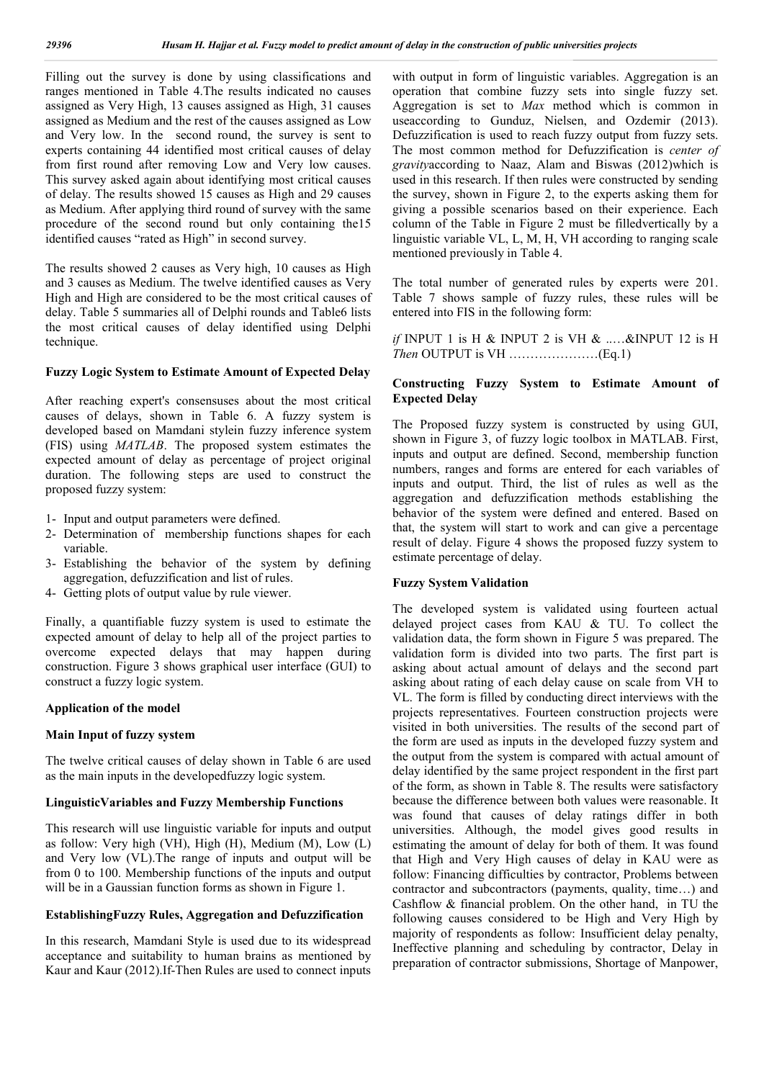Filling out the survey is done by using classifications and ranges mentioned in Table 4.The results indicated no causes assigned as Very High, 13 causes assigned as High, 31 causes assigned as Medium and the rest of the causes assigned as Low and Very low. In the second round, the survey is sent to experts containing 44 identified most critical causes of delay from first round after removing Low and Very low causes. This survey asked again about identifying most critical causes of delay. The results showed 15 causes as High and 29 causes as Medium. After applying third round of survey with the same procedure of the second round but only containing the15 identified causes "rated as High" in second survey.

The results showed 2 causes as Very high, 10 causes as High and 3 causes as Medium. The twelve identified causes as Very High and High are considered to be the most critical causes of delay. Table 5 summaries all of Delphi rounds and Table6 lists the most critical causes of delay identified using Delphi technique.

## **Fuzzy Logic System to Estimate Amount of Expected Delay**

After reaching expert's consensuses about the most critical causes of delays, shown in Table 6. A fuzzy system is developed based on Mamdani stylein fuzzy inference system (FIS) using *MATLAB*. The proposed system estimates the expected amount of delay as percentage of project original duration. The following steps are used to construct the proposed fuzzy system:

- 1- Input and output parameters were defined.
- 2- Determination of membership functions shapes for each variable.
- 3- Establishing the behavior of the system by defining aggregation, defuzzification and list of rules.
- 4- Getting plots of output value by rule viewer.

Finally, a quantifiable fuzzy system is used to estimate the expected amount of delay to help all of the project parties to overcome expected delays that may happen during construction. Figure 3 shows graphical user interface (GUI) to construct a fuzzy logic system.

#### **Application of the model**

#### **Main Input of fuzzy system**

The twelve critical causes of delay shown in Table 6 are used as the main inputs in the developedfuzzy logic system.

### **LinguisticVariables and Fuzzy Membership Functions**

This research will use linguistic variable for inputs and output as follow: Very high (VH), High (H), Medium (M), Low (L) and Very low (VL).The range of inputs and output will be from 0 to 100. Membership functions of the inputs and output will be in a Gaussian function forms as shown in Figure 1.

#### **EstablishingFuzzy Rules, Aggregation and Defuzzification**

In this research, Mamdani Style is used due to its widespread acceptance and suitability to human brains as mentioned by Kaur and Kaur (2012).If-Then Rules are used to connect inputs

with output in form of linguistic variables. Aggregation is an operation that combine fuzzy sets into single fuzzy set. Aggregation is set to *Max* method which is common in useaccording to Gunduz, Nielsen, and Ozdemir (2013). Defuzzification is used to reach fuzzy output from fuzzy sets. The most common method for Defuzzification is *center of gravity*according to Naaz, Alam and Biswas (2012)which is used in this research. If then rules were constructed by sending the survey, shown in Figure 2, to the experts asking them for giving a possible scenarios based on their experience. Each column of the Table in Figure 2 must be filledvertically by a linguistic variable VL, L, M, H, VH according to ranging scale mentioned previously in Table 4.

The total number of generated rules by experts were 201. Table 7 shows sample of fuzzy rules, these rules will be entered into FIS in the following form:

*if* INPUT 1 is H & INPUT 2 is VH & ..…&INPUT 12 is H *Then* OUTPUT is VH …………………(Eq.1)

## **Constructing Fuzzy System to Estimate Amount of Expected Delay**

The Proposed fuzzy system is constructed by using GUI, shown in Figure 3, of fuzzy logic toolbox in MATLAB. First, inputs and output are defined. Second, membership function numbers, ranges and forms are entered for each variables of inputs and output. Third, the list of rules as well as the aggregation and defuzzification methods establishing the behavior of the system were defined and entered. Based on that, the system will start to work and can give a percentage result of delay. Figure 4 shows the proposed fuzzy system to estimate percentage of delay.

### **Fuzzy System Validation**

The developed system is validated using fourteen actual delayed project cases from KAU & TU. To collect the validation data, the form shown in Figure 5 was prepared. The validation form is divided into two parts. The first part is asking about actual amount of delays and the second part asking about rating of each delay cause on scale from VH to VL. The form is filled by conducting direct interviews with the projects representatives. Fourteen construction projects were visited in both universities. The results of the second part of the form are used as inputs in the developed fuzzy system and the output from the system is compared with actual amount of delay identified by the same project respondent in the first part of the form, as shown in Table 8. The results were satisfactory because the difference between both values were reasonable. It was found that causes of delay ratings differ in both universities. Although, the model gives good results in estimating the amount of delay for both of them. It was found that High and Very High causes of delay in KAU were as follow: Financing difficulties by contractor, Problems between contractor and subcontractors (payments, quality, time…) and Cashflow & financial problem. On the other hand, in TU the following causes considered to be High and Very High by majority of respondents as follow: Insufficient delay penalty, Ineffective planning and scheduling by contractor, Delay in preparation of contractor submissions, Shortage of Manpower,